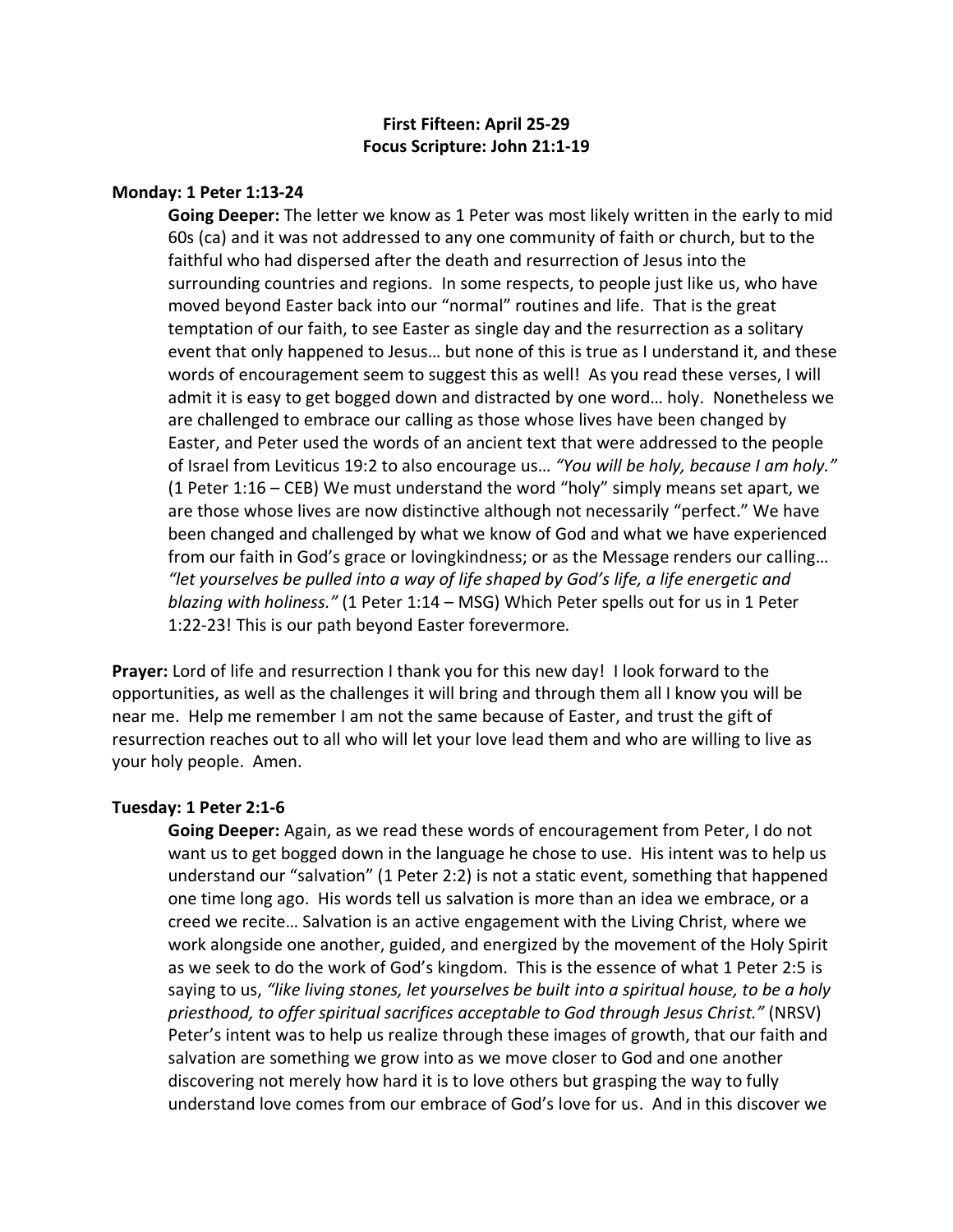# **First Fifteen: April 25-29 Focus Scripture: John 21:1-19**

### **Monday: 1 Peter 1:13-24**

**Going Deeper:** The letter we know as 1 Peter was most likely written in the early to mid 60s (ca) and it was not addressed to any one community of faith or church, but to the faithful who had dispersed after the death and resurrection of Jesus into the surrounding countries and regions. In some respects, to people just like us, who have moved beyond Easter back into our "normal" routines and life. That is the great temptation of our faith, to see Easter as single day and the resurrection as a solitary event that only happened to Jesus… but none of this is true as I understand it, and these words of encouragement seem to suggest this as well! As you read these verses, I will admit it is easy to get bogged down and distracted by one word… holy. Nonetheless we are challenged to embrace our calling as those whose lives have been changed by Easter, and Peter used the words of an ancient text that were addressed to the people of Israel from Leviticus 19:2 to also encourage us… *"You will be holy, because I am holy."*  (1 Peter 1:16 – CEB) We must understand the word "holy" simply means set apart, we are those whose lives are now distinctive although not necessarily "perfect." We have been changed and challenged by what we know of God and what we have experienced from our faith in God's grace or lovingkindness; or as the Message renders our calling… *"let yourselves be pulled into a way of life shaped by God's life, a life energetic and blazing with holiness."* (1 Peter 1:14 – MSG) Which Peter spells out for us in 1 Peter 1:22-23! This is our path beyond Easter forevermore.

**Prayer:** Lord of life and resurrection I thank you for this new day! I look forward to the opportunities, as well as the challenges it will bring and through them all I know you will be near me. Help me remember I am not the same because of Easter, and trust the gift of resurrection reaches out to all who will let your love lead them and who are willing to live as your holy people. Amen.

#### **Tuesday: 1 Peter 2:1-6**

**Going Deeper:** Again, as we read these words of encouragement from Peter, I do not want us to get bogged down in the language he chose to use. His intent was to help us understand our "salvation" (1 Peter 2:2) is not a static event, something that happened one time long ago. His words tell us salvation is more than an idea we embrace, or a creed we recite… Salvation is an active engagement with the Living Christ, where we work alongside one another, guided, and energized by the movement of the Holy Spirit as we seek to do the work of God's kingdom. This is the essence of what 1 Peter 2:5 is saying to us, *"like living stones, let yourselves be built into a spiritual house, to be a holy priesthood, to offer spiritual sacrifices acceptable to God through Jesus Christ."* (NRSV) Peter's intent was to help us realize through these images of growth, that our faith and salvation are something we grow into as we move closer to God and one another discovering not merely how hard it is to love others but grasping the way to fully understand love comes from our embrace of God's love for us. And in this discover we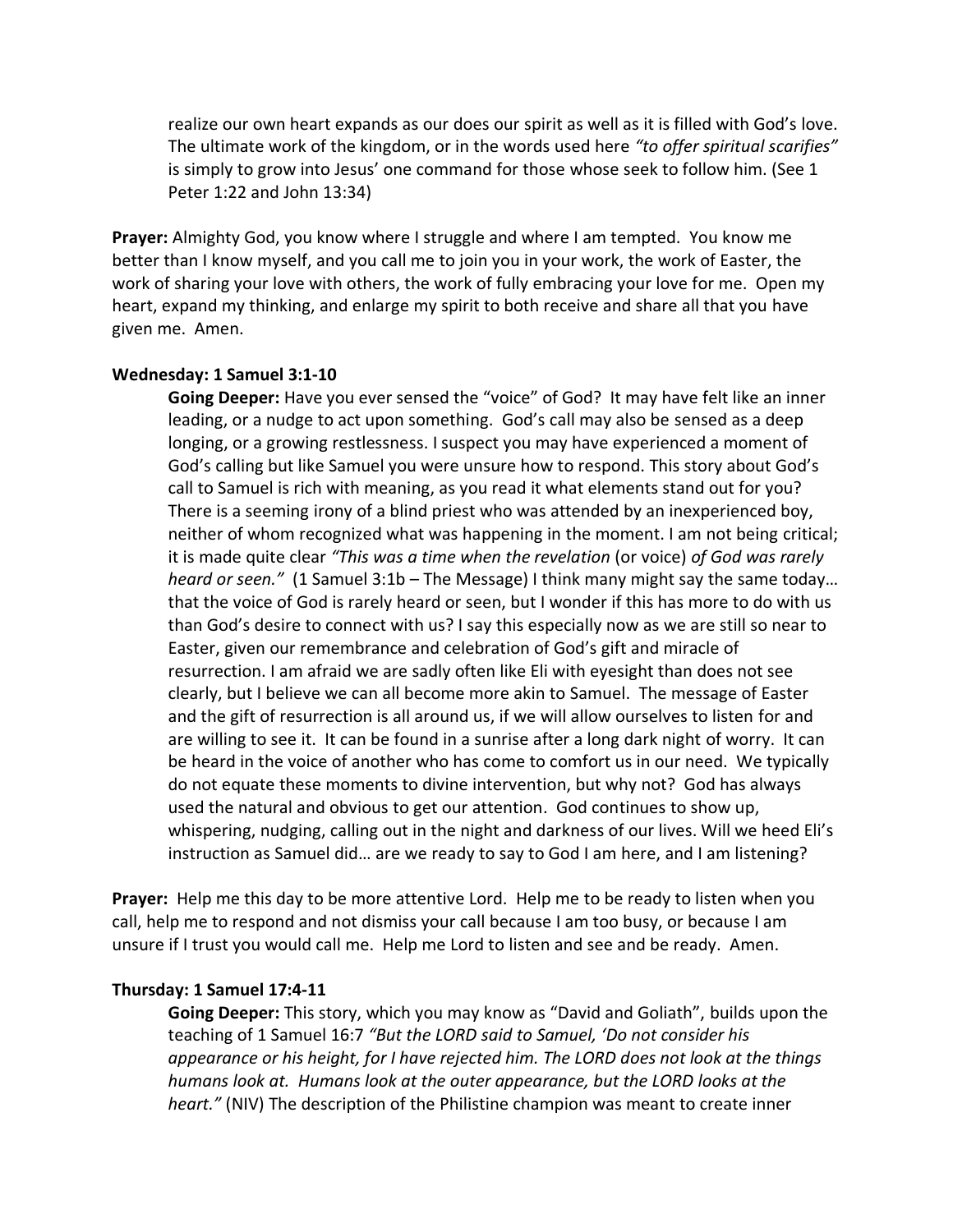realize our own heart expands as our does our spirit as well as it is filled with God's love. The ultimate work of the kingdom, or in the words used here *"to offer spiritual scarifies"*  is simply to grow into Jesus' one command for those whose seek to follow him. (See 1 Peter 1:22 and John 13:34)

**Prayer:** Almighty God, you know where I struggle and where I am tempted. You know me better than I know myself, and you call me to join you in your work, the work of Easter, the work of sharing your love with others, the work of fully embracing your love for me. Open my heart, expand my thinking, and enlarge my spirit to both receive and share all that you have given me. Amen.

#### **Wednesday: 1 Samuel 3:1-10**

**Going Deeper:** Have you ever sensed the "voice" of God? It may have felt like an inner leading, or a nudge to act upon something. God's call may also be sensed as a deep longing, or a growing restlessness. I suspect you may have experienced a moment of God's calling but like Samuel you were unsure how to respond. This story about God's call to Samuel is rich with meaning, as you read it what elements stand out for you? There is a seeming irony of a blind priest who was attended by an inexperienced boy, neither of whom recognized what was happening in the moment. I am not being critical; it is made quite clear *"This was a time when the revelation* (or voice) *of God was rarely heard or seen."* (1 Samuel 3:1b – The Message) I think many might say the same today… that the voice of God is rarely heard or seen, but I wonder if this has more to do with us than God's desire to connect with us? I say this especially now as we are still so near to Easter, given our remembrance and celebration of God's gift and miracle of resurrection. I am afraid we are sadly often like Eli with eyesight than does not see clearly, but I believe we can all become more akin to Samuel. The message of Easter and the gift of resurrection is all around us, if we will allow ourselves to listen for and are willing to see it. It can be found in a sunrise after a long dark night of worry. It can be heard in the voice of another who has come to comfort us in our need. We typically do not equate these moments to divine intervention, but why not? God has always used the natural and obvious to get our attention. God continues to show up, whispering, nudging, calling out in the night and darkness of our lives. Will we heed Eli's instruction as Samuel did… are we ready to say to God I am here, and I am listening?

**Prayer:** Help me this day to be more attentive Lord. Help me to be ready to listen when you call, help me to respond and not dismiss your call because I am too busy, or because I am unsure if I trust you would call me. Help me Lord to listen and see and be ready. Amen.

## **Thursday: 1 Samuel 17:4-11**

**Going Deeper:** This story, which you may know as "David and Goliath", builds upon the teaching of 1 Samuel 16:7 *"But the LORD said to Samuel, 'Do not consider his appearance or his height, for I have rejected him. The LORD does not look at the things humans look at. Humans look at the outer appearance, but the LORD looks at the heart."* (NIV) The description of the Philistine champion was meant to create inner